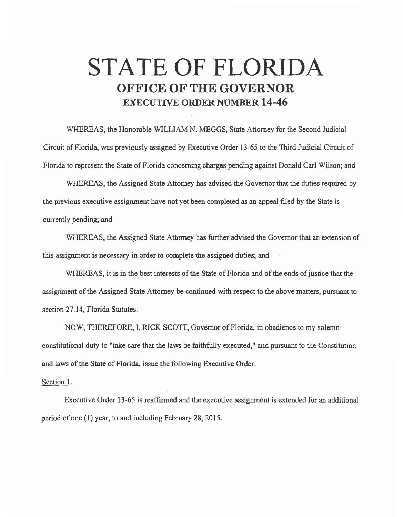## **STATE OF FLORIDA OFFICE OF THE GOVERNOR EXECUTIVE ORDER NUMBER 14-46**

WHEREAS, the Honorable WILLIAM N. MEGGS, State Attorney for the Second Judicial Circuit ofFlorida, was previously assigned by Executive Order 13-65 to the Third Judicial Circuit of Florida to represent the State of Florida concerning charges pending against Donald Carl Wilson; and

WHEREAS, the Assigned State Attorney has advised the Governor that the duties required by the previous executive assignment have not yet been completed as an appeal filed by the State is currently pending; and

WHEREAS, the Assigned State Attorney has further advised the Governor that an extension of this assignment is necessary in order to complete the assigned duties; and

WHEREAS, it is in the best interests of the State of Florida and of the ends of justice that the assignment of the Assigned State Attorney be continued with respect to the above matters, pursuant to section 27.14, Florida Statutes.

NOW, THEREFORE, I, RICK SCOTT, Governor of Florida, in obedience to my solemn constitutional duty to "take care that the laws be faithfulJy executed," and pursuant to the Constitution and laws of the State of Florida, issue the following Executive Order:

## Section 1.

Executive Order 13-65 is reaffirmed and the executive assignment is extended for an additional period of one (I) year, to and including February 28, 2015.